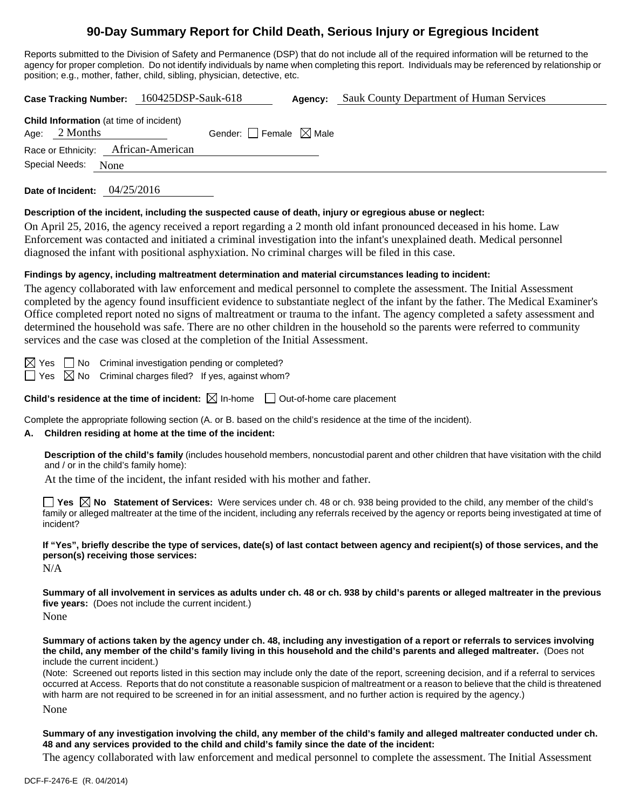# **90-Day Summary Report for Child Death, Serious Injury or Egregious Incident**

Reports submitted to the Division of Safety and Permanence (DSP) that do not include all of the required information will be returned to the agency for proper completion. Do not identify individuals by name when completing this report. Individuals may be referenced by relationship or position; e.g., mother, father, child, sibling, physician, detective, etc.

**Case Tracking Number:** 160425DSP-Sauk-618 **Agency:** Sauk County Department of Human Services **Child Information** (at time of incident) Age:  $2$  Months Gender: Female  $\boxtimes$  Male Race or Ethnicity: African-American Special Needs: None

**Date of Incident:** 04/25/2016

#### **Description of the incident, including the suspected cause of death, injury or egregious abuse or neglect:**

On April 25, 2016, the agency received a report regarding a 2 month old infant pronounced deceased in his home. Law Enforcement was contacted and initiated a criminal investigation into the infant's unexplained death. Medical personnel diagnosed the infant with positional asphyxiation. No criminal charges will be filed in this case.

#### **Findings by agency, including maltreatment determination and material circumstances leading to incident:**

The agency collaborated with law enforcement and medical personnel to complete the assessment. The Initial Assessment completed by the agency found insufficient evidence to substantiate neglect of the infant by the father. The Medical Examiner's Office completed report noted no signs of maltreatment or trauma to the infant. The agency completed a safety assessment and determined the household was safe. There are no other children in the household so the parents were referred to community services and the case was closed at the completion of the Initial Assessment.

 $\boxtimes$  Yes  $\Box$  No Criminal investigation pending or completed?  $\Box$  Yes  $\boxtimes$  No Criminal charges filed? If yes, against whom?

**Child's residence at the time of incident:**  $\boxtimes$  In-home  $\Box$  Out-of-home care placement

Complete the appropriate following section (A. or B. based on the child's residence at the time of the incident).

## **A. Children residing at home at the time of the incident:**

**Description of the child's family** (includes household members, noncustodial parent and other children that have visitation with the child and / or in the child's family home):

At the time of the incident, the infant resided with his mother and father.

**Yes No Statement of Services:** Were services under ch. 48 or ch. 938 being provided to the child, any member of the child's family or alleged maltreater at the time of the incident, including any referrals received by the agency or reports being investigated at time of incident?

**If "Yes", briefly describe the type of services, date(s) of last contact between agency and recipient(s) of those services, and the person(s) receiving those services:** 

N/A

**Summary of all involvement in services as adults under ch. 48 or ch. 938 by child's parents or alleged maltreater in the previous five years:** (Does not include the current incident.)

None

**Summary of actions taken by the agency under ch. 48, including any investigation of a report or referrals to services involving the child, any member of the child's family living in this household and the child's parents and alleged maltreater.** (Does not include the current incident.)

(Note: Screened out reports listed in this section may include only the date of the report, screening decision, and if a referral to services occurred at Access. Reports that do not constitute a reasonable suspicion of maltreatment or a reason to believe that the child is threatened with harm are not required to be screened in for an initial assessment, and no further action is required by the agency.)

None

**Summary of any investigation involving the child, any member of the child's family and alleged maltreater conducted under ch. 48 and any services provided to the child and child's family since the date of the incident:** 

The agency collaborated with law enforcement and medical personnel to complete the assessment. The Initial Assessment